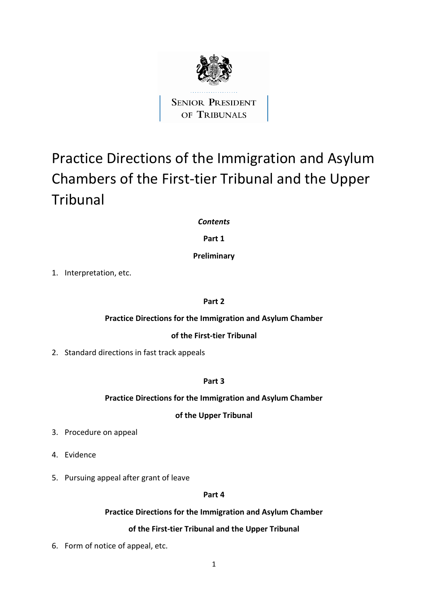

# Practice Directions of the Immigration and Asylum Chambers of the First-tier Tribunal and the Upper Tribunal

## *Contents*

**Part 1**

**Preliminary**

1. Interpretation, etc.

## **Part 2**

# **Practice Directions for the Immigration and Asylum Chamber**

## **of the First-tier Tribunal**

2. Standard directions in fast track appeals

## **Part 3**

# **Practice Directions for the Immigration and Asylum Chamber**

# **of the Upper Tribunal**

- 3. Procedure on appeal
- 4. Evidence
- 5. Pursuing appeal after grant of leave

## **Part 4**

# **Practice Directions for the Immigration and Asylum Chamber**

## **of the First-tier Tribunal and the Upper Tribunal**

6. Form of notice of appeal, etc.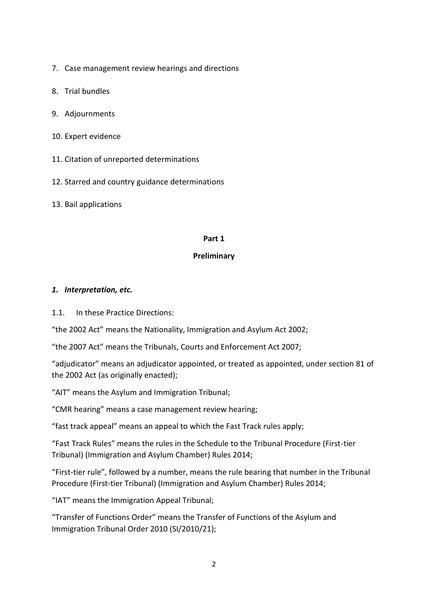- 7. Case management review hearings and directions
- 8. Trial bundles
- 9. Adjournments
- 10. Expert evidence
- 11. Citation of unreported determinations
- 12. Starred and country guidance determinations
- 13. Bail applications

#### **Part 1**

#### **Preliminary**

#### *1. Interpretation, etc.*

1.1. In these Practice Directions:

"the 2002 Act" means the Nationality, Immigration and Asylum Act 2002;

"the 2007 Act" means the Tribunals, Courts and Enforcement Act 2007;

"adjudicator" means an adjudicator appointed, or treated as appointed, under section 81 of the 2002 Act (as originally enacted);

"AIT" means the Asylum and Immigration Tribunal;

"CMR hearing" means a case management review hearing;

"fast track appeal" means an appeal to which the Fast Track rules apply;

"Fast Track Rules" means the rules in the Schedule to the Tribunal Procedure (First-tier Tribunal) (Immigration and Asylum Chamber) Rules 2014;

"First-tier rule", followed by a number, means the rule bearing that number in the Tribunal Procedure (First-tier Tribunal) (Immigration and Asylum Chamber) Rules 2014;

"IAT" means the Immigration Appeal Tribunal;

"Transfer of Functions Order" means the Transfer of Functions of the Asylum and Immigration Tribunal Order 2010 (SI/2010/21);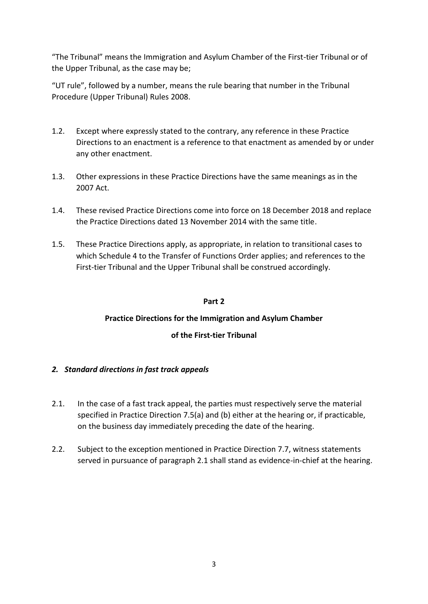"The Tribunal" means the Immigration and Asylum Chamber of the First-tier Tribunal or of the Upper Tribunal, as the case may be;

"UT rule", followed by a number, means the rule bearing that number in the Tribunal Procedure (Upper Tribunal) Rules 2008.

- 1.2. Except where expressly stated to the contrary, any reference in these Practice Directions to an enactment is a reference to that enactment as amended by or under any other enactment.
- 1.3. Other expressions in these Practice Directions have the same meanings as in the 2007 Act.
- 1.4. These revised Practice Directions come into force on 18 December 2018 and replace the Practice Directions dated 13 November 2014 with the same title.
- 1.5. These Practice Directions apply, as appropriate, in relation to transitional cases to which Schedule 4 to the Transfer of Functions Order applies; and references to the First-tier Tribunal and the Upper Tribunal shall be construed accordingly.

## **Part 2**

## **Practice Directions for the Immigration and Asylum Chamber**

## **of the First-tier Tribunal**

## *2. Standard directions in fast track appeals*

- 2.1. In the case of a fast track appeal, the parties must respectively serve the material specified in Practice Direction 7.5(a) and (b) either at the hearing or, if practicable, on the business day immediately preceding the date of the hearing.
- 2.2. Subject to the exception mentioned in Practice Direction 7.7, witness statements served in pursuance of paragraph 2.1 shall stand as evidence-in-chief at the hearing.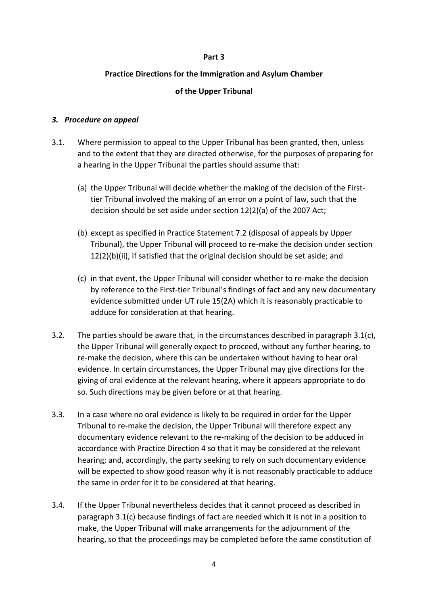#### **Part 3**

## **Practice Directions for the Immigration and Asylum Chamber**

## **of the Upper Tribunal**

## *3. Procedure on appeal*

- 3.1. Where permission to appeal to the Upper Tribunal has been granted, then, unless and to the extent that they are directed otherwise, for the purposes of preparing for a hearing in the Upper Tribunal the parties should assume that:
	- (a) the Upper Tribunal will decide whether the making of the decision of the Firsttier Tribunal involved the making of an error on a point of law, such that the decision should be set aside under section 12(2)(a) of the 2007 Act;
	- (b) except as specified in Practice Statement 7.2 (disposal of appeals by Upper Tribunal), the Upper Tribunal will proceed to re-make the decision under section 12(2)(b)(ii), if satisfied that the original decision should be set aside; and
	- (c) in that event, the Upper Tribunal will consider whether to re-make the decision by reference to the First-tier Tribunal's findings of fact and any new documentary evidence submitted under UT rule 15(2A) which it is reasonably practicable to adduce for consideration at that hearing.
- 3.2. The parties should be aware that, in the circumstances described in paragraph 3.1(c), the Upper Tribunal will generally expect to proceed, without any further hearing, to re-make the decision, where this can be undertaken without having to hear oral evidence. In certain circumstances, the Upper Tribunal may give directions for the giving of oral evidence at the relevant hearing, where it appears appropriate to do so. Such directions may be given before or at that hearing.
- 3.3. In a case where no oral evidence is likely to be required in order for the Upper Tribunal to re-make the decision, the Upper Tribunal will therefore expect any documentary evidence relevant to the re-making of the decision to be adduced in accordance with Practice Direction 4 so that it may be considered at the relevant hearing; and, accordingly, the party seeking to rely on such documentary evidence will be expected to show good reason why it is not reasonably practicable to adduce the same in order for it to be considered at that hearing.
- 3.4. If the Upper Tribunal nevertheless decides that it cannot proceed as described in paragraph 3.1(c) because findings of fact are needed which it is not in a position to make, the Upper Tribunal will make arrangements for the adjournment of the hearing, so that the proceedings may be completed before the same constitution of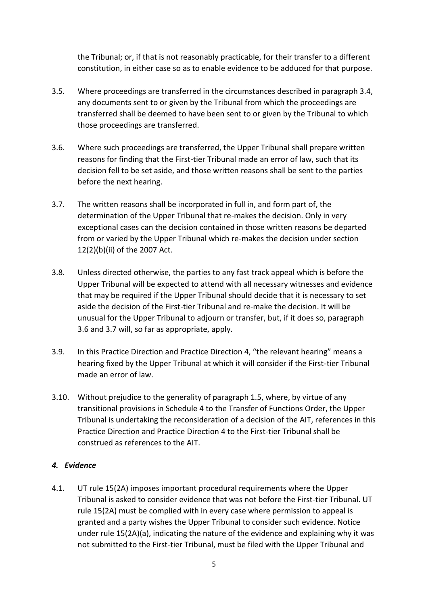the Tribunal; or, if that is not reasonably practicable, for their transfer to a different constitution, in either case so as to enable evidence to be adduced for that purpose.

- 3.5. Where proceedings are transferred in the circumstances described in paragraph 3.4, any documents sent to or given by the Tribunal from which the proceedings are transferred shall be deemed to have been sent to or given by the Tribunal to which those proceedings are transferred.
- 3.6. Where such proceedings are transferred, the Upper Tribunal shall prepare written reasons for finding that the First-tier Tribunal made an error of law, such that its decision fell to be set aside, and those written reasons shall be sent to the parties before the next hearing.
- 3.7. The written reasons shall be incorporated in full in, and form part of, the determination of the Upper Tribunal that re-makes the decision. Only in very exceptional cases can the decision contained in those written reasons be departed from or varied by the Upper Tribunal which re-makes the decision under section 12(2)(b)(ii) of the 2007 Act.
- 3.8. Unless directed otherwise, the parties to any fast track appeal which is before the Upper Tribunal will be expected to attend with all necessary witnesses and evidence that may be required if the Upper Tribunal should decide that it is necessary to set aside the decision of the First-tier Tribunal and re-make the decision. It will be unusual for the Upper Tribunal to adjourn or transfer, but, if it does so, paragraph 3.6 and 3.7 will, so far as appropriate, apply.
- 3.9. In this Practice Direction and Practice Direction 4, "the relevant hearing" means a hearing fixed by the Upper Tribunal at which it will consider if the First-tier Tribunal made an error of law.
- 3.10. Without prejudice to the generality of paragraph 1.5, where, by virtue of any transitional provisions in Schedule 4 to the Transfer of Functions Order, the Upper Tribunal is undertaking the reconsideration of a decision of the AIT, references in this Practice Direction and Practice Direction 4 to the First-tier Tribunal shall be construed as references to the AIT.

## *4. Evidence*

4.1. UT rule 15(2A) imposes important procedural requirements where the Upper Tribunal is asked to consider evidence that was not before the First-tier Tribunal. UT rule 15(2A) must be complied with in every case where permission to appeal is granted and a party wishes the Upper Tribunal to consider such evidence. Notice under rule 15(2A)(a), indicating the nature of the evidence and explaining why it was not submitted to the First-tier Tribunal, must be filed with the Upper Tribunal and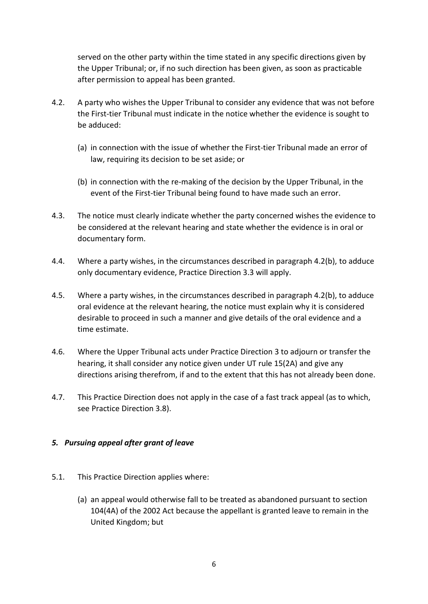served on the other party within the time stated in any specific directions given by the Upper Tribunal; or, if no such direction has been given, as soon as practicable after permission to appeal has been granted.

- 4.2. A party who wishes the Upper Tribunal to consider any evidence that was not before the First-tier Tribunal must indicate in the notice whether the evidence is sought to be adduced:
	- (a) in connection with the issue of whether the First-tier Tribunal made an error of law, requiring its decision to be set aside; or
	- (b) in connection with the re-making of the decision by the Upper Tribunal, in the event of the First-tier Tribunal being found to have made such an error.
- 4.3. The notice must clearly indicate whether the party concerned wishes the evidence to be considered at the relevant hearing and state whether the evidence is in oral or documentary form.
- 4.4. Where a party wishes, in the circumstances described in paragraph 4.2(b), to adduce only documentary evidence, Practice Direction 3.3 will apply.
- 4.5. Where a party wishes, in the circumstances described in paragraph 4.2(b), to adduce oral evidence at the relevant hearing, the notice must explain why it is considered desirable to proceed in such a manner and give details of the oral evidence and a time estimate.
- 4.6. Where the Upper Tribunal acts under Practice Direction 3 to adjourn or transfer the hearing, it shall consider any notice given under UT rule 15(2A) and give any directions arising therefrom, if and to the extent that this has not already been done.
- 4.7. This Practice Direction does not apply in the case of a fast track appeal (as to which, see Practice Direction 3.8).

## *5. Pursuing appeal after grant of leave*

- 5.1. This Practice Direction applies where:
	- (a) an appeal would otherwise fall to be treated as abandoned pursuant to section 104(4A) of the 2002 Act because the appellant is granted leave to remain in the United Kingdom; but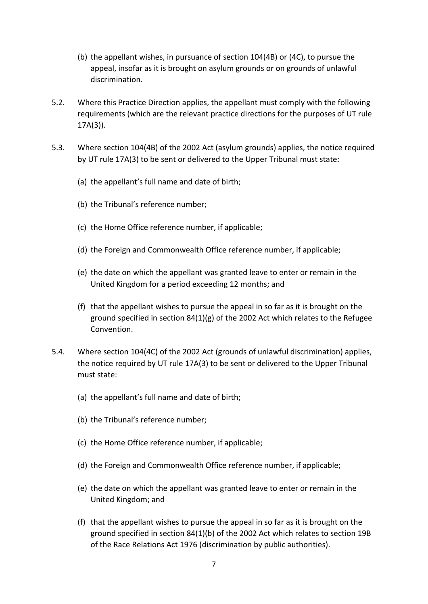- (b) the appellant wishes, in pursuance of section 104(4B) or (4C), to pursue the appeal, insofar as it is brought on asylum grounds or on grounds of unlawful discrimination.
- 5.2. Where this Practice Direction applies, the appellant must comply with the following requirements (which are the relevant practice directions for the purposes of UT rule 17A(3)).
- 5.3. Where section 104(4B) of the 2002 Act (asylum grounds) applies, the notice required by UT rule 17A(3) to be sent or delivered to the Upper Tribunal must state:
	- (a) the appellant's full name and date of birth;
	- (b) the Tribunal's reference number;
	- (c) the Home Office reference number, if applicable;
	- (d) the Foreign and Commonwealth Office reference number, if applicable;
	- (e) the date on which the appellant was granted leave to enter or remain in the United Kingdom for a period exceeding 12 months; and
	- (f) that the appellant wishes to pursue the appeal in so far as it is brought on the ground specified in section 84(1)(g) of the 2002 Act which relates to the Refugee Convention.
- 5.4. Where section 104(4C) of the 2002 Act (grounds of unlawful discrimination) applies, the notice required by UT rule 17A(3) to be sent or delivered to the Upper Tribunal must state:
	- (a) the appellant's full name and date of birth;
	- (b) the Tribunal's reference number;
	- (c) the Home Office reference number, if applicable;
	- (d) the Foreign and Commonwealth Office reference number, if applicable;
	- (e) the date on which the appellant was granted leave to enter or remain in the United Kingdom; and
	- (f) that the appellant wishes to pursue the appeal in so far as it is brought on the ground specified in section 84(1)(b) of the 2002 Act which relates to section 19B of the Race Relations Act 1976 (discrimination by public authorities).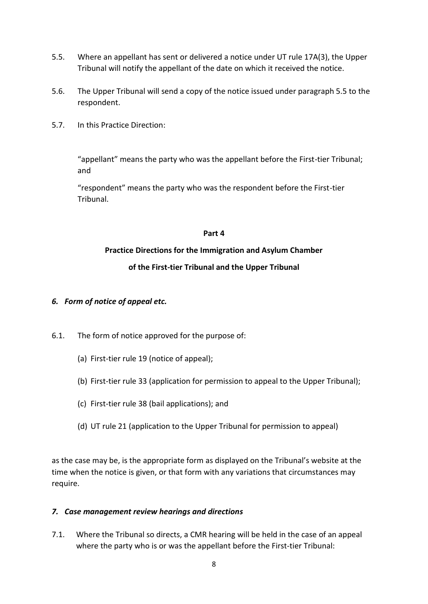- 5.5. Where an appellant has sent or delivered a notice under UT rule 17A(3), the Upper Tribunal will notify the appellant of the date on which it received the notice.
- 5.6. The Upper Tribunal will send a copy of the notice issued under paragraph 5.5 to the respondent.
- 5.7. In this Practice Direction:

"appellant" means the party who was the appellant before the First-tier Tribunal; and

"respondent" means the party who was the respondent before the First-tier Tribunal.

#### **Part 4**

#### **Practice Directions for the Immigration and Asylum Chamber**

#### **of the First-tier Tribunal and the Upper Tribunal**

#### *6. Form of notice of appeal etc.*

- 6.1. The form of notice approved for the purpose of:
	- (a) First-tier rule 19 (notice of appeal);
	- (b) First-tier rule 33 (application for permission to appeal to the Upper Tribunal);
	- (c) First-tier rule 38 (bail applications); and
	- (d) UT rule 21 (application to the Upper Tribunal for permission to appeal)

as the case may be, is the appropriate form as displayed on the Tribunal's website at the time when the notice is given, or that form with any variations that circumstances may require.

#### *7. Case management review hearings and directions*

7.1. Where the Tribunal so directs, a CMR hearing will be held in the case of an appeal where the party who is or was the appellant before the First-tier Tribunal: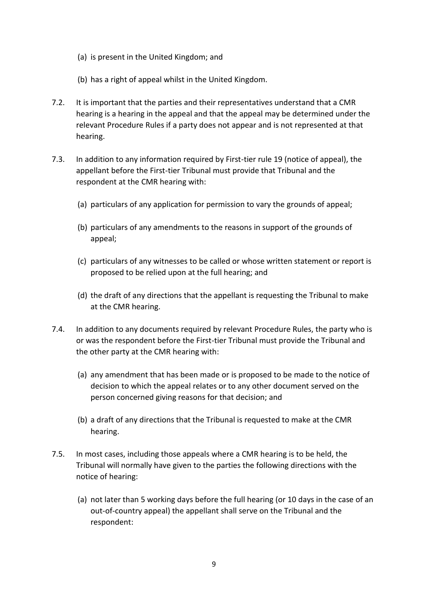- (a) is present in the United Kingdom; and
- (b) has a right of appeal whilst in the United Kingdom.
- 7.2. It is important that the parties and their representatives understand that a CMR hearing is a hearing in the appeal and that the appeal may be determined under the relevant Procedure Rules if a party does not appear and is not represented at that hearing.
- 7.3. In addition to any information required by First-tier rule 19 (notice of appeal), the appellant before the First-tier Tribunal must provide that Tribunal and the respondent at the CMR hearing with:
	- (a) particulars of any application for permission to vary the grounds of appeal;
	- (b) particulars of any amendments to the reasons in support of the grounds of appeal;
	- (c) particulars of any witnesses to be called or whose written statement or report is proposed to be relied upon at the full hearing; and
	- (d) the draft of any directions that the appellant is requesting the Tribunal to make at the CMR hearing.
- 7.4. In addition to any documents required by relevant Procedure Rules, the party who is or was the respondent before the First-tier Tribunal must provide the Tribunal and the other party at the CMR hearing with:
	- (a) any amendment that has been made or is proposed to be made to the notice of decision to which the appeal relates or to any other document served on the person concerned giving reasons for that decision; and
	- (b) a draft of any directions that the Tribunal is requested to make at the CMR hearing.
- 7.5. In most cases, including those appeals where a CMR hearing is to be held, the Tribunal will normally have given to the parties the following directions with the notice of hearing:
	- (a) not later than 5 working days before the full hearing (or 10 days in the case of an out-of-country appeal) the appellant shall serve on the Tribunal and the respondent: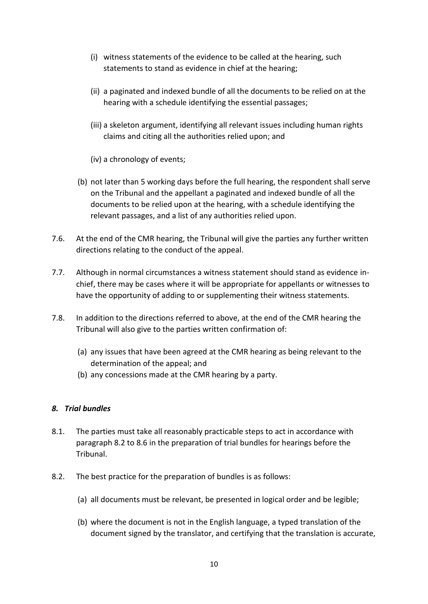- (i) witness statements of the evidence to be called at the hearing, such statements to stand as evidence in chief at the hearing;
- (ii) a paginated and indexed bundle of all the documents to be relied on at the hearing with a schedule identifying the essential passages;
- (iii) a skeleton argument, identifying all relevant issues including human rights claims and citing all the authorities relied upon; and
- (iv) a chronology of events;
- (b) not later than 5 working days before the full hearing, the respondent shall serve on the Tribunal and the appellant a paginated and indexed bundle of all the documents to be relied upon at the hearing, with a schedule identifying the relevant passages, and a list of any authorities relied upon.
- 7.6. At the end of the CMR hearing, the Tribunal will give the parties any further written directions relating to the conduct of the appeal.
- 7.7. Although in normal circumstances a witness statement should stand as evidence inchief, there may be cases where it will be appropriate for appellants or witnesses to have the opportunity of adding to or supplementing their witness statements.
- 7.8. In addition to the directions referred to above, at the end of the CMR hearing the Tribunal will also give to the parties written confirmation of:
	- (a) any issues that have been agreed at the CMR hearing as being relevant to the determination of the appeal; and
	- (b) any concessions made at the CMR hearing by a party.

## *8. Trial bundles*

- 8.1. The parties must take all reasonably practicable steps to act in accordance with paragraph 8.2 to 8.6 in the preparation of trial bundles for hearings before the Tribunal.
- 8.2. The best practice for the preparation of bundles is as follows:
	- (a) all documents must be relevant, be presented in logical order and be legible;
	- (b) where the document is not in the English language, a typed translation of the document signed by the translator, and certifying that the translation is accurate,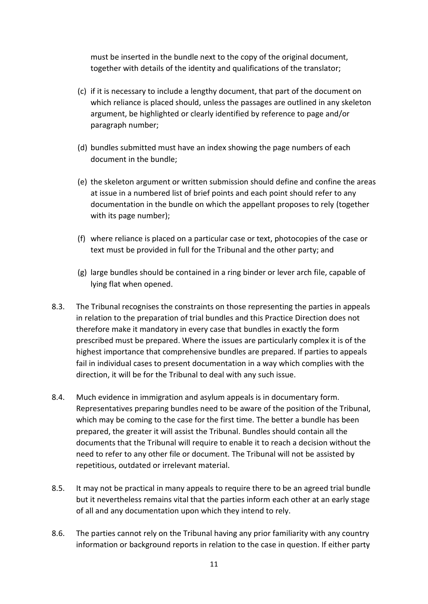must be inserted in the bundle next to the copy of the original document, together with details of the identity and qualifications of the translator;

- (c) if it is necessary to include a lengthy document, that part of the document on which reliance is placed should, unless the passages are outlined in any skeleton argument, be highlighted or clearly identified by reference to page and/or paragraph number;
- (d) bundles submitted must have an index showing the page numbers of each document in the bundle;
- (e) the skeleton argument or written submission should define and confine the areas at issue in a numbered list of brief points and each point should refer to any documentation in the bundle on which the appellant proposes to rely (together with its page number);
- (f) where reliance is placed on a particular case or text, photocopies of the case or text must be provided in full for the Tribunal and the other party; and
- (g) large bundles should be contained in a ring binder or lever arch file, capable of lying flat when opened.
- 8.3. The Tribunal recognises the constraints on those representing the parties in appeals in relation to the preparation of trial bundles and this Practice Direction does not therefore make it mandatory in every case that bundles in exactly the form prescribed must be prepared. Where the issues are particularly complex it is of the highest importance that comprehensive bundles are prepared. If parties to appeals fail in individual cases to present documentation in a way which complies with the direction, it will be for the Tribunal to deal with any such issue.
- 8.4. Much evidence in immigration and asylum appeals is in documentary form. Representatives preparing bundles need to be aware of the position of the Tribunal, which may be coming to the case for the first time. The better a bundle has been prepared, the greater it will assist the Tribunal. Bundles should contain all the documents that the Tribunal will require to enable it to reach a decision without the need to refer to any other file or document. The Tribunal will not be assisted by repetitious, outdated or irrelevant material.
- 8.5. It may not be practical in many appeals to require there to be an agreed trial bundle but it nevertheless remains vital that the parties inform each other at an early stage of all and any documentation upon which they intend to rely.
- 8.6. The parties cannot rely on the Tribunal having any prior familiarity with any country information or background reports in relation to the case in question. If either party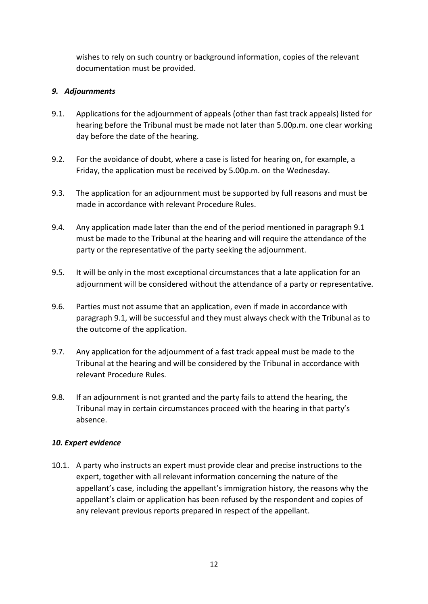wishes to rely on such country or background information, copies of the relevant documentation must be provided.

## *9. Adjournments*

- 9.1. Applications for the adjournment of appeals (other than fast track appeals) listed for hearing before the Tribunal must be made not later than 5.00p.m. one clear working day before the date of the hearing.
- 9.2. For the avoidance of doubt, where a case is listed for hearing on, for example, a Friday, the application must be received by 5.00p.m. on the Wednesday.
- 9.3. The application for an adjournment must be supported by full reasons and must be made in accordance with relevant Procedure Rules.
- 9.4. Any application made later than the end of the period mentioned in paragraph 9.1 must be made to the Tribunal at the hearing and will require the attendance of the party or the representative of the party seeking the adjournment.
- 9.5. It will be only in the most exceptional circumstances that a late application for an adjournment will be considered without the attendance of a party or representative.
- 9.6. Parties must not assume that an application, even if made in accordance with paragraph 9.1, will be successful and they must always check with the Tribunal as to the outcome of the application.
- 9.7. Any application for the adjournment of a fast track appeal must be made to the Tribunal at the hearing and will be considered by the Tribunal in accordance with relevant Procedure Rules.
- 9.8. If an adjournment is not granted and the party fails to attend the hearing, the Tribunal may in certain circumstances proceed with the hearing in that party's absence.

## *10. Expert evidence*

10.1. A party who instructs an expert must provide clear and precise instructions to the expert, together with all relevant information concerning the nature of the appellant's case, including the appellant's immigration history, the reasons why the appellant's claim or application has been refused by the respondent and copies of any relevant previous reports prepared in respect of the appellant.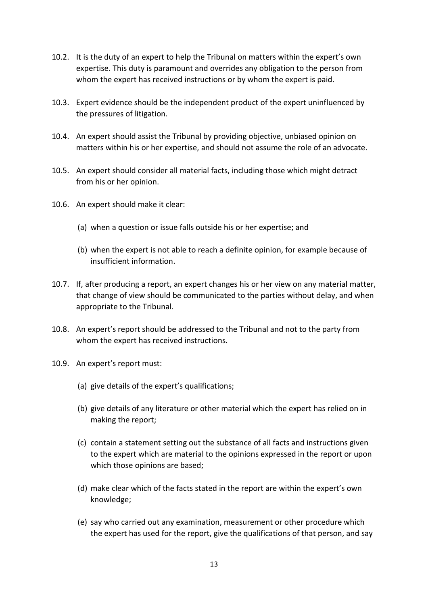- 10.2. It is the duty of an expert to help the Tribunal on matters within the expert's own expertise. This duty is paramount and overrides any obligation to the person from whom the expert has received instructions or by whom the expert is paid.
- 10.3. Expert evidence should be the independent product of the expert uninfluenced by the pressures of litigation.
- 10.4. An expert should assist the Tribunal by providing objective, unbiased opinion on matters within his or her expertise, and should not assume the role of an advocate.
- 10.5. An expert should consider all material facts, including those which might detract from his or her opinion.
- 10.6. An expert should make it clear:
	- (a) when a question or issue falls outside his or her expertise; and
	- (b) when the expert is not able to reach a definite opinion, for example because of insufficient information.
- 10.7. If, after producing a report, an expert changes his or her view on any material matter, that change of view should be communicated to the parties without delay, and when appropriate to the Tribunal.
- 10.8. An expert's report should be addressed to the Tribunal and not to the party from whom the expert has received instructions.
- 10.9. An expert's report must:
	- (a) give details of the expert's qualifications;
	- (b) give details of any literature or other material which the expert has relied on in making the report;
	- (c) contain a statement setting out the substance of all facts and instructions given to the expert which are material to the opinions expressed in the report or upon which those opinions are based;
	- (d) make clear which of the facts stated in the report are within the expert's own knowledge;
	- (e) say who carried out any examination, measurement or other procedure which the expert has used for the report, give the qualifications of that person, and say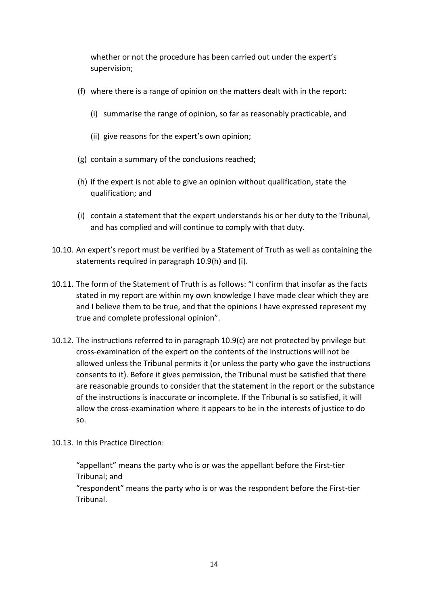whether or not the procedure has been carried out under the expert's supervision;

- (f) where there is a range of opinion on the matters dealt with in the report:
	- (i) summarise the range of opinion, so far as reasonably practicable, and
	- (ii) give reasons for the expert's own opinion;
- (g) contain a summary of the conclusions reached;
- (h) if the expert is not able to give an opinion without qualification, state the qualification; and
- (i) contain a statement that the expert understands his or her duty to the Tribunal, and has complied and will continue to comply with that duty.
- 10.10. An expert's report must be verified by a Statement of Truth as well as containing the statements required in paragraph 10.9(h) and (i).
- 10.11. The form of the Statement of Truth is as follows: "I confirm that insofar as the facts stated in my report are within my own knowledge I have made clear which they are and I believe them to be true, and that the opinions I have expressed represent my true and complete professional opinion".
- 10.12. The instructions referred to in paragraph 10.9(c) are not protected by privilege but cross-examination of the expert on the contents of the instructions will not be allowed unless the Tribunal permits it (or unless the party who gave the instructions consents to it). Before it gives permission, the Tribunal must be satisfied that there are reasonable grounds to consider that the statement in the report or the substance of the instructions is inaccurate or incomplete. If the Tribunal is so satisfied, it will allow the cross-examination where it appears to be in the interests of justice to do so.
- 10.13. In this Practice Direction:

"appellant" means the party who is or was the appellant before the First-tier Tribunal; and

"respondent" means the party who is or was the respondent before the First-tier Tribunal.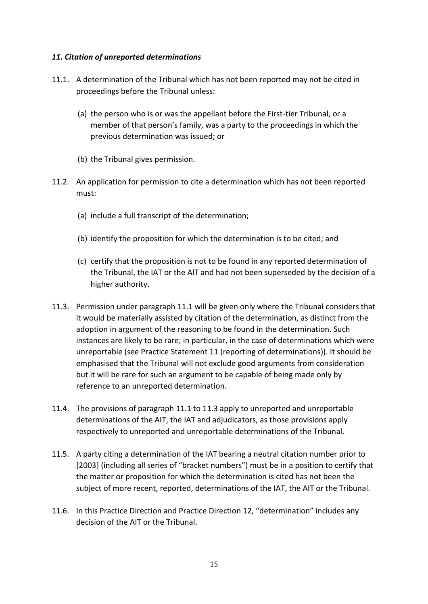## *11. Citation of unreported determinations*

- 11.1. A determination of the Tribunal which has not been reported may not be cited in proceedings before the Tribunal unless:
	- (a) the person who is or was the appellant before the First-tier Tribunal, or a member of that person's family, was a party to the proceedings in which the previous determination was issued; or
	- (b) the Tribunal gives permission.
- 11.2. An application for permission to cite a determination which has not been reported must:
	- (a) include a full transcript of the determination;
	- (b) identify the proposition for which the determination is to be cited; and
	- (c) certify that the proposition is not to be found in any reported determination of the Tribunal, the IAT or the AIT and had not been superseded by the decision of a higher authority.
- 11.3. Permission under paragraph 11.1 will be given only where the Tribunal considers that it would be materially assisted by citation of the determination, as distinct from the adoption in argument of the reasoning to be found in the determination. Such instances are likely to be rare; in particular, in the case of determinations which were unreportable (see Practice Statement 11 (reporting of determinations)). It should be emphasised that the Tribunal will not exclude good arguments from consideration but it will be rare for such an argument to be capable of being made only by reference to an unreported determination.
- 11.4. The provisions of paragraph 11.1 to 11.3 apply to unreported and unreportable determinations of the AIT, the IAT and adjudicators, as those provisions apply respectively to unreported and unreportable determinations of the Tribunal.
- 11.5. A party citing a determination of the IAT bearing a neutral citation number prior to [2003] (including all series of "bracket numbers") must be in a position to certify that the matter or proposition for which the determination is cited has not been the subject of more recent, reported, determinations of the IAT, the AIT or the Tribunal.
- 11.6. In this Practice Direction and Practice Direction 12, "determination" includes any decision of the AIT or the Tribunal.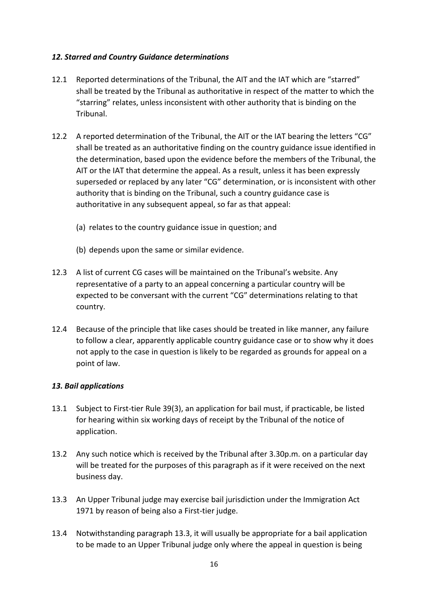## *12. Starred and Country Guidance determinations*

- 12.1 Reported determinations of the Tribunal, the AIT and the IAT which are "starred" shall be treated by the Tribunal as authoritative in respect of the matter to which the "starring" relates, unless inconsistent with other authority that is binding on the Tribunal.
- 12.2 A reported determination of the Tribunal, the AIT or the IAT bearing the letters "CG" shall be treated as an authoritative finding on the country guidance issue identified in the determination, based upon the evidence before the members of the Tribunal, the AIT or the IAT that determine the appeal. As a result, unless it has been expressly superseded or replaced by any later "CG" determination, or is inconsistent with other authority that is binding on the Tribunal, such a country guidance case is authoritative in any subsequent appeal, so far as that appeal:
	- (a) relates to the country guidance issue in question; and
	- (b) depends upon the same or similar evidence.
- 12.3 A list of current CG cases will be maintained on the Tribunal's website. Any representative of a party to an appeal concerning a particular country will be expected to be conversant with the current "CG" determinations relating to that country.
- 12.4 Because of the principle that like cases should be treated in like manner, any failure to follow a clear, apparently applicable country guidance case or to show why it does not apply to the case in question is likely to be regarded as grounds for appeal on a point of law.

## *13. Bail applications*

- 13.1 Subject to First-tier Rule 39(3), an application for bail must, if practicable, be listed for hearing within six working days of receipt by the Tribunal of the notice of application.
- 13.2 Any such notice which is received by the Tribunal after 3.30p.m. on a particular day will be treated for the purposes of this paragraph as if it were received on the next business day.
- 13.3 An Upper Tribunal judge may exercise bail jurisdiction under the Immigration Act 1971 by reason of being also a First-tier judge.
- 13.4 Notwithstanding paragraph 13.3, it will usually be appropriate for a bail application to be made to an Upper Tribunal judge only where the appeal in question is being